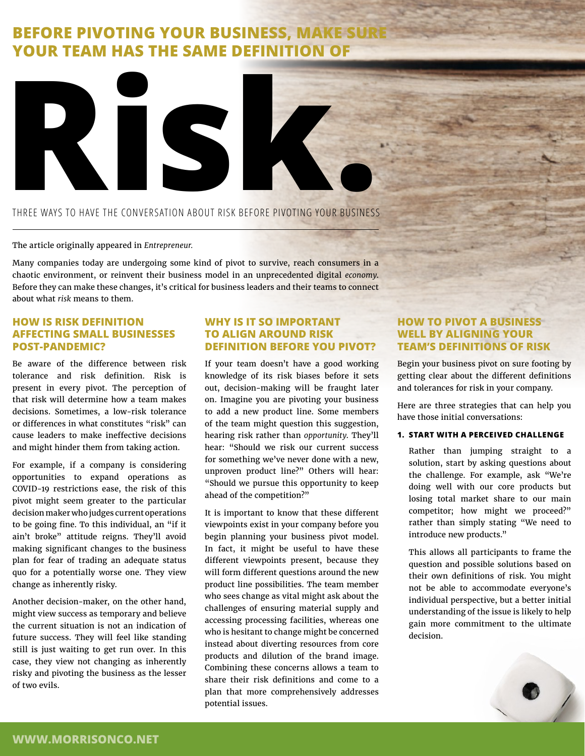# **BEFORE PIVOTING YOUR BUSINESS, MAKE SURE YOUR TEAM HAS THE SAME DEFINITION OF**



## THREE WAYS TO HAVE THE CONVERSATION ABOUT RISK BEFORE PIVOTING YOUR BUSINESS

#### The article originally appeared in *[Entrepreneur.](https://www.entrepreneur.com/article/383399)*

Many companies today are undergoing some kind of pivot to survive, reach consumers in a chaotic environment, or reinvent their business model in an unprecedented digital *[economy](https://www.entrepreneur.com/topic/economy)*. Before they can make these changes, it's critical for business leaders and their teams to connect about what *[risk](https://www.entrepreneur.com/topic/risk)* means to them.

## **HOW IS RISK DEFINITION AFFECTING SMALL BUSINESSES POST-PANDEMIC?**

Be aware of the difference between risk tolerance and risk definition. Risk is present in every pivot. The perception of that risk will determine how a team makes decisions. Sometimes, a low-risk tolerance or differences in what constitutes "risk" can cause leaders to make ineffective decisions and might hinder them from taking action.

For example, if a company is considering opportunities to expand operations as COVID-19 restrictions ease, the risk of this pivot might seem greater to the particular decision maker who judges current operations to be going fine. To this individual, an "if it ain't broke" attitude reigns. They'll avoid making significant changes to the business plan for fear of trading an adequate status quo for a potentially worse one. They view change as inherently risky.

Another decision-maker, on the other hand, might view success as temporary and believe the current situation is not an indication of future success. They will feel like standing still is just waiting to get run over. In this case, they view not changing as inherently risky and pivoting the business as the lesser of two evils.

## **WHY IS IT SO IMPORTANT TO ALIGN AROUND RISK DEFINITION BEFORE YOU PIVOT?**

If your team doesn't have a good working knowledge of its risk biases before it sets out, decision-making will be fraught later on. Imagine you are pivoting your business to add a new product line. Some members of the team might question this suggestion, hearing risk rather than *[opportunity](https://morrisonco.net/blog/evaluating-business-opportunities)*. They'll hear: "Should we risk our current success for something we've never done with a new, unproven product line?" Others will hear: "Should we pursue this opportunity to keep ahead of the competition?"

It is important to know that these different viewpoints exist in your company before you begin planning your business pivot model. In fact, it might be useful to have these different viewpoints present, because they will form different questions around the new product line possibilities. The team member who sees change as vital might ask about the challenges of ensuring material supply and accessing processing facilities, whereas one who is hesitant to change might be concerned instead about diverting resources from core products and dilution of the brand image. Combining these concerns allows a team to share their risk definitions and come to a plan that more comprehensively addresses potential issues.

# **HOW TO PIVOT A BUSINESS WELL BY ALIGNING YOUR TEAM'S DEFINITIONS OF RISK**

Begin your business pivot on sure footing by getting clear about the different definitions and tolerances for risk in your company.

Here are three strategies that can help you have those initial conversations:

#### **1. START WITH A PERCEIVED CHALLENGE**

Rather than jumping straight to a solution, start by asking questions about the challenge. For example, ask "We're doing well with our core products but losing total market share to our main competitor; how might we proceed?" rather than simply stating "We need to introduce new products."

This allows all participants to frame the question and possible solutions based on their own definitions of risk. You might not be able to accommodate everyone's individual perspective, but a better initial understanding of the issue is likely to help gain more commitment to the ultimate decision.